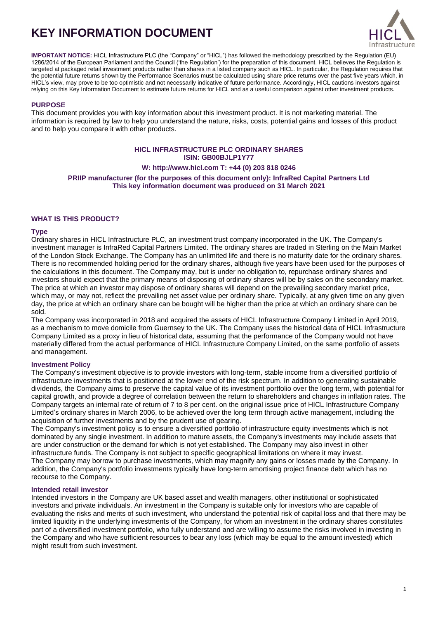# **KEY INFORMATION DOCUMENT**



**IMPORTANT NOTICE:** HICL Infrastructure PLC (the "Company" or "HICL") has followed the methodology prescribed by the Regulation (EU) 1286/2014 of the European Parliament and the Council ('the Regulation') for the preparation of this document. HICL believes the Regulation is targeted at packaged retail investment products rather than shares in a listed company such as HICL. In particular, the Regulation requires that the potential future returns shown by the Performance Scenarios must be calculated using share price returns over the past five years which, in HICL's view, may prove to be too optimistic and not necessarily indicative of future performance. Accordingly, HICL cautions investors against relying on this Key Information Document to estimate future returns for HICL and as a useful comparison against other investment products.

## **PURPOSE**

This document provides you with key information about this investment product. It is not marketing material. The information is required by law to help you understand the nature, risks, costs, potential gains and losses of this product and to help you compare it with other products.

## **HICL INFRASTRUCTURE PLC ORDINARY SHARES ISIN: GB00BJLP1Y77**

## **W[: http://www.hicl.com](http://www.hicl.com/) T: +44 (0) 203 818 0246**

**PRIIP manufacturer (for the purposes of this document only): InfraRed Capital Partners Ltd This key information document was produced on 31 March 2021**

## **WHAT IS THIS PRODUCT?**

## **Type**

Ordinary shares in HICL Infrastructure PLC, an investment trust company incorporated in the UK. The Company's investment manager is InfraRed Capital Partners Limited. The ordinary shares are traded in Sterling on the Main Market of the London Stock Exchange. The Company has an unlimited life and there is no maturity date for the ordinary shares. There is no recommended holding period for the ordinary shares, although five years have been used for the purposes of the calculations in this document. The Company may, but is under no obligation to, repurchase ordinary shares and investors should expect that the primary means of disposing of ordinary shares will be by sales on the secondary market. The price at which an investor may dispose of ordinary shares will depend on the prevailing secondary market price, which may, or may not, reflect the prevailing net asset value per ordinary share. Typically, at any given time on any given day, the price at which an ordinary share can be bought will be higher than the price at which an ordinary share can be sold.

The Company was incorporated in 2018 and acquired the assets of HICL Infrastructure Company Limited in April 2019, as a mechanism to move domicile from Guernsey to the UK. The Company uses the historical data of HICL Infrastructure Company Limited as a proxy in lieu of historical data, assuming that the performance of the Company would not have materially differed from the actual performance of HICL Infrastructure Company Limited, on the same portfolio of assets and management.

## **Investment Policy**

The Company's investment objective is to provide investors with long-term, stable income from a diversified portfolio of infrastructure investments that is positioned at the lower end of the risk spectrum. In addition to generating sustainable dividends, the Company aims to preserve the capital value of its investment portfolio over the long term, with potential for capital growth, and provide a degree of correlation between the return to shareholders and changes in inflation rates. The Company targets an internal rate of return of 7 to 8 per cent. on the original issue price of HICL Infrastructure Company Limited's ordinary shares in March 2006, to be achieved over the long term through active management, including the acquisition of further investments and by the prudent use of gearing.

The Company's investment policy is to ensure a diversified portfolio of infrastructure equity investments which is not dominated by any single investment. In addition to mature assets, the Company's investments may include assets that are under construction or the demand for which is not yet established. The Company may also invest in other infrastructure funds. The Company is not subject to specific geographical limitations on where it may invest. The Company may borrow to purchase investments, which may magnify any gains or losses made by the Company. In addition, the Company's portfolio investments typically have long-term amortising project finance debt which has no recourse to the Company.

## **Intended retail investor**

Intended investors in the Company are UK based asset and wealth managers, other institutional or sophisticated investors and private individuals. An investment in the Company is suitable only for investors who are capable of evaluating the risks and merits of such investment, who understand the potential risk of capital loss and that there may be limited liquidity in the underlying investments of the Company, for whom an investment in the ordinary shares constitutes part of a diversified investment portfolio, who fully understand and are willing to assume the risks involved in investing in the Company and who have sufficient resources to bear any loss (which may be equal to the amount invested) which might result from such investment.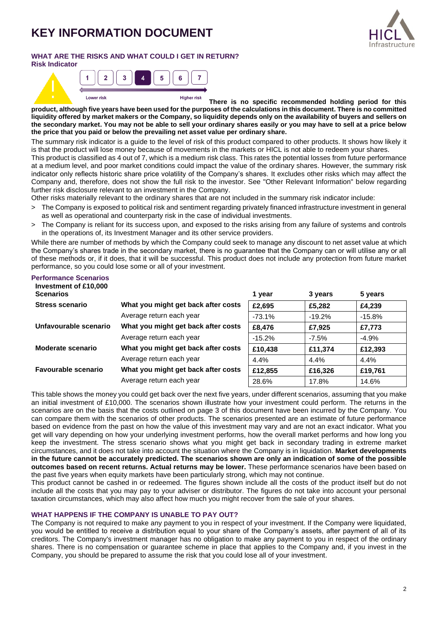# **KEY INFORMATION DOCUMENT**



# **WHAT ARE THE RISKS AND WHAT COULD I GET IN RETURN?**



**There is no specific recommended holding period for this product, although five years have been used for the purposes of the calculations in this document. There is no committed liquidity offered by market makers or the Company, so liquidity depends only on the availability of buyers and sellers on the secondary market. You may not be able to sell your ordinary shares easily or you may have to sell at a price below the price that you paid or below the prevailing net asset value per ordinary share.**

The summary risk indicator is a guide to the level of risk of this product compared to other products. It shows how likely it is that the product will lose money because of movements in the markets or HICL is not able to redeem your shares.

This product is classified as 4 out of 7, which is a medium risk class. This rates the potential losses from future performance at a medium level, and poor market conditions could impact the value of the ordinary shares. However, the summary risk indicator only reflects historic share price volatility of the Company's shares. It excludes other risks which may affect the Company and, therefore, does not show the full risk to the investor. See "Other Relevant Information" below regarding further risk disclosure relevant to an investment in the Company.

Other risks materially relevant to the ordinary shares that are not included in the summary risk indicator include:

- > The Company is exposed to political risk and sentiment regarding privately financed infrastructure investment in general as well as operational and counterparty risk in the case of individual investments.
- > The Company is reliant for its success upon, and exposed to the risks arising from any failure of systems and controls in the operations of, its Investment Manager and its other service providers.

While there are number of methods by which the Company could seek to manage any discount to net asset value at which the Company's shares trade in the secondary market, there is no guarantee that the Company can or will utilise any or all of these methods or, if it does, that it will be successful. This product does not include any protection from future market performance, so you could lose some or all of your investment.

#### **Performance Scenarios Investment of £10,000**

| <b>ILIVESUREIR OF LIVIOUS</b><br><b>Scenarios</b> |                                     | 1 year    | 3 years  | 5 years  |
|---------------------------------------------------|-------------------------------------|-----------|----------|----------|
| <b>Stress scenario</b>                            | What you might get back after costs | £2,695    | £5,282   | £4,239   |
|                                                   | Average return each year            | $-73.1%$  | $-19.2%$ | $-15.8%$ |
| Unfavourable scenario                             | What you might get back after costs | £8,476    | £7.925   | £7,773   |
|                                                   | Average return each year            | $-15.2\%$ | $-7.5\%$ | $-4.9%$  |
| <b>Moderate scenario</b>                          | What you might get back after costs | £10,438   | £11,374  | £12,393  |
|                                                   | Average return each year            | 4.4%      | 4.4%     | 4.4%     |
| <b>Favourable scenario</b>                        | What you might get back after costs | £12,855   | £16,326  | £19,761  |
|                                                   | Average return each year            | 28.6%     | 17.8%    | 14.6%    |

This table shows the money you could get back over the next five years, under different scenarios, assuming that you make an initial investment of £10,000. The scenarios shown illustrate how your investment could perform. The returns in the scenarios are on the basis that the costs outlined on page 3 of this document have been incurred by the Company. You can compare them with the scenarios of other products. The scenarios presented are an estimate of future performance based on evidence from the past on how the value of this investment may vary and are not an exact indicator. What you get will vary depending on how your underlying investment performs, how the overall market performs and how long you keep the investment. The stress scenario shows what you might get back in secondary trading in extreme market circumstances, and it does not take into account the situation where the Company is in liquidation. **Market developments in the future cannot be accurately predicted. The scenarios shown are only an indication of some of the possible outcomes based on recent returns. Actual returns may be lower.** These performance scenarios have been based on the past five years when equity markets have been particularly strong, which may not continue.

This product cannot be cashed in or redeemed. The figures shown include all the costs of the product itself but do not include all the costs that you may pay to your adviser or distributor. The figures do not take into account your personal taxation circumstances, which may also affect how much you might recover from the sale of your shares.

## **WHAT HAPPENS IF THE COMPANY IS UNABLE TO PAY OUT?**

The Company is not required to make any payment to you in respect of your investment. If the Company were liquidated, you would be entitled to receive a distribution equal to your share of the Company's assets, after payment of all of its creditors. The Company's investment manager has no obligation to make any payment to you in respect of the ordinary shares. There is no compensation or guarantee scheme in place that applies to the Company and, if you invest in the Company, you should be prepared to assume the risk that you could lose all of your investment.